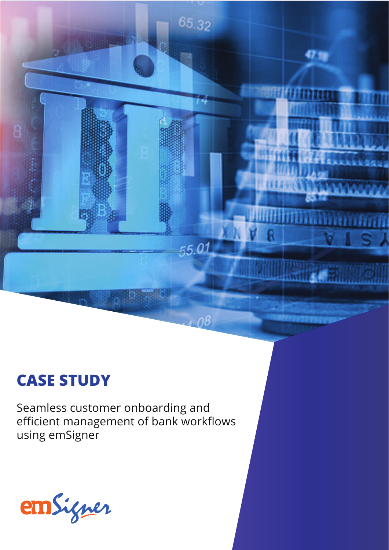# **CASE STUDY**

Seamless customer onboarding and efficient management of bank workflows using emSigner

65.32

55.01

 $-08$ 

**BARRY PERSONAL** 

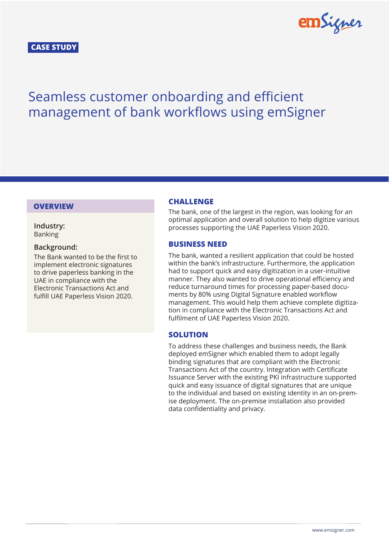# **CASE STUDY**



# Seamless customer onboarding and efficient management of bank workflows using emSigner

**Industry:** Banking

## **Background:**

The Bank wanted to be the first to implement electronic signatures to drive paperless banking in the UAE in compliance with the Electronic Transactions Act and fulfill UAE Paperless Vision 2020.

# **OVERVIEW CHALLENGE**

The bank, one of the largest in the region, was looking for an optimal application and overall solution to help digitize various processes supporting the UAE Paperless Vision 2020.

# **BUSINESS NEED**

The bank, wanted a resilient application that could be hosted within the bank's infrastructure. Furthermore, the application had to support quick and easy digitization in a user-intuitive manner. They also wanted to drive operational efficiency and reduce turnaround times for processing paper-based documents by 80% using Digital Signature enabled workflow management. This would help them achieve complete digitization in compliance with the Electronic Transactions Act and fulfilment of UAE Paperless Vision 2020.

# **SOLUTION**

To address these challenges and business needs, the Bank deployed emSigner which enabled them to adopt legally binding signatures that are compliant with the Electronic Transactions Act of the country. Integration with Certificate Issuance Server with the existing PKI infrastructure supported quick and easy issuance of digital signatures that are unique to the individual and based on existing identity in an on-premise deployment. The on-premise installation also provided data confidentiality and privacy.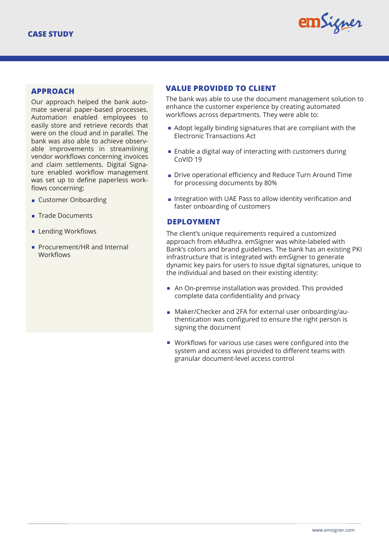

Our approach helped the bank automate several paper-based processes. Automation enabled employees to easily store and retrieve records that were on the cloud and in parallel. The bank was also able to achieve observable improvements in streamlining vendor workflows concerning invoices and claim settlements. Digital Signature enabled workflow management was set up to define paperless workflows concerning:

- **Customer Onboarding**
- **Trade Documents**
- **Lending Workflows**
- Procurement/HR and Internal **Workflows**

# **VALUE PROVIDED TO CLIENT APPROACH**

The bank was able to use the document management solution to enhance the customer experience by creating automated workflows across departments. They were able to:

- Adopt legally binding signatures that are compliant with the Electronic Transactions Act
- $\blacksquare$  Enable a digital way of interacting with customers during CoVID 19
- Drive operational efficiency and Reduce Turn Around Time for processing documents by 80%
- Integration with UAE Pass to allow identity verification and faster onboarding of customers

## **DEPLOYMENT**

The client's unique requirements required a customized approach from eMudhra. emSigner was white-labeled with Bank's colors and brand guidelines. The bank has an existing PKI infrastructure that is integrated with emSigner to generate dynamic key pairs for users to issue digital signatures, unique to the individual and based on their existing identity:

- An On-premise installation was provided. This provided complete data confidentiality and privacy
- Maker/Checker and 2FA for external user onboarding/authentication was configured to ensure the right person is signing the document
- Workflows for various use cases were configured into the system and access was provided to different teams with granular document-level access control